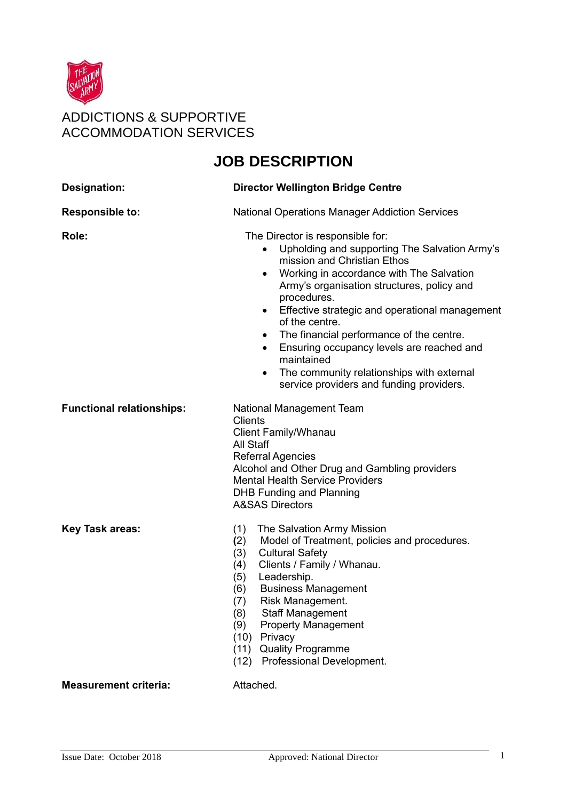

## **JOB DESCRIPTION**

| <b>Designation:</b>              | <b>Director Wellington Bridge Centre</b>                                                                                                                                                                                                                                                                                                                                                                                                                                                                                                                                    |  |
|----------------------------------|-----------------------------------------------------------------------------------------------------------------------------------------------------------------------------------------------------------------------------------------------------------------------------------------------------------------------------------------------------------------------------------------------------------------------------------------------------------------------------------------------------------------------------------------------------------------------------|--|
| <b>Responsible to:</b>           | <b>National Operations Manager Addiction Services</b>                                                                                                                                                                                                                                                                                                                                                                                                                                                                                                                       |  |
| Role:                            | The Director is responsible for:<br>Upholding and supporting The Salvation Army's<br>$\bullet$<br>mission and Christian Ethos<br>Working in accordance with The Salvation<br>$\bullet$<br>Army's organisation structures, policy and<br>procedures.<br>Effective strategic and operational management<br>$\bullet$<br>of the centre.<br>The financial performance of the centre.<br>$\bullet$<br>Ensuring occupancy levels are reached and<br>$\bullet$<br>maintained<br>The community relationships with external<br>$\bullet$<br>service providers and funding providers. |  |
| <b>Functional relationships:</b> | National Management Team<br><b>Clients</b><br><b>Client Family/Whanau</b><br>All Staff<br><b>Referral Agencies</b><br>Alcohol and Other Drug and Gambling providers<br><b>Mental Health Service Providers</b><br><b>DHB Funding and Planning</b><br><b>A&amp;SAS Directors</b>                                                                                                                                                                                                                                                                                              |  |
| <b>Key Task areas:</b>           | (1)<br>The Salvation Army Mission<br>Model of Treatment, policies and procedures.<br>(2)<br>(3)<br><b>Cultural Safety</b><br>Clients / Family / Whanau.<br>(4)<br>Leadership.<br>(5)<br><b>Business Management</b><br>(6)<br>Risk Management.<br>(7)<br><b>Staff Management</b><br>(8)<br>(9)<br><b>Property Management</b><br>Privacy<br>(10)<br><b>Quality Programme</b><br>(11)<br>(12) Professional Development.                                                                                                                                                        |  |
| <b>Measurement criteria:</b>     | Attached.                                                                                                                                                                                                                                                                                                                                                                                                                                                                                                                                                                   |  |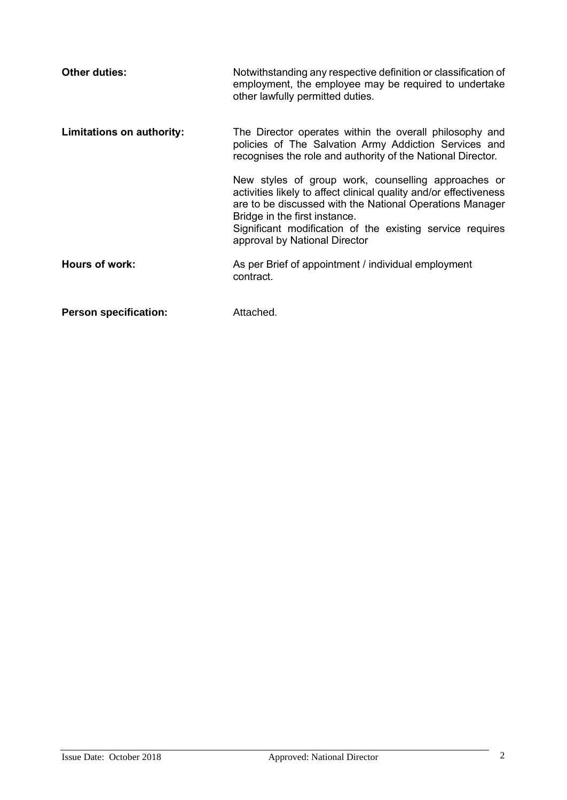| <b>Other duties:</b>         | Notwithstanding any respective definition or classification of<br>employment, the employee may be required to undertake<br>other lawfully permitted duties.                                                                                                                                                         |
|------------------------------|---------------------------------------------------------------------------------------------------------------------------------------------------------------------------------------------------------------------------------------------------------------------------------------------------------------------|
| Limitations on authority:    | The Director operates within the overall philosophy and<br>policies of The Salvation Army Addiction Services and<br>recognises the role and authority of the National Director.                                                                                                                                     |
|                              | New styles of group work, counselling approaches or<br>activities likely to affect clinical quality and/or effectiveness<br>are to be discussed with the National Operations Manager<br>Bridge in the first instance.<br>Significant modification of the existing service requires<br>approval by National Director |
| Hours of work:               | As per Brief of appointment / individual employment<br>contract.                                                                                                                                                                                                                                                    |
| <b>Person specification:</b> | Attached.                                                                                                                                                                                                                                                                                                           |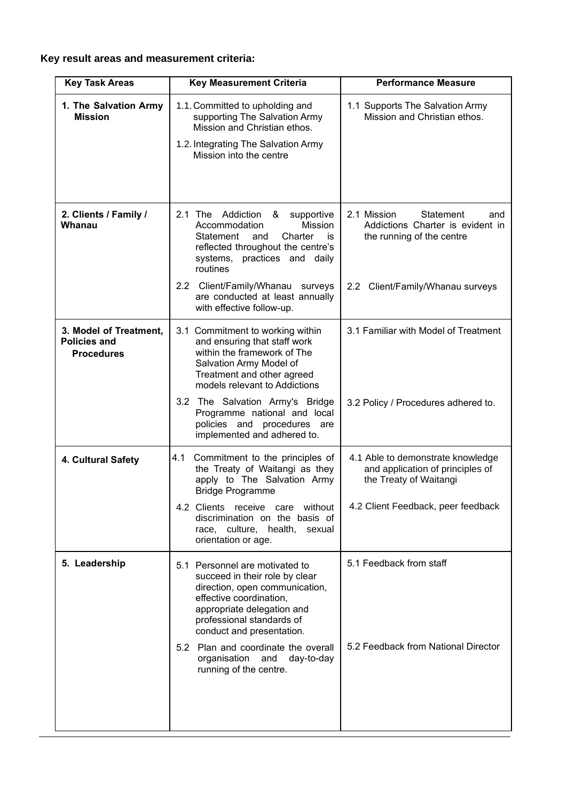## **Key result areas and measurement criteria:**

| <b>Key Task Areas</b>                                              | <b>Performance Measure</b><br><b>Key Measurement Criteria</b>                                                                                                                                                         |                                                                                                  |  |
|--------------------------------------------------------------------|-----------------------------------------------------------------------------------------------------------------------------------------------------------------------------------------------------------------------|--------------------------------------------------------------------------------------------------|--|
| 1. The Salvation Army<br><b>Mission</b>                            | 1.1. Committed to upholding and<br>supporting The Salvation Army<br>Mission and Christian ethos.                                                                                                                      | 1.1 Supports The Salvation Army<br>Mission and Christian ethos.                                  |  |
|                                                                    | 1.2. Integrating The Salvation Army<br>Mission into the centre                                                                                                                                                        |                                                                                                  |  |
| 2. Clients / Family /<br>Whanau                                    | 2.1 The Addiction<br>&<br>supportive<br>Accommodation<br><b>Mission</b><br>Charter<br>Statement<br>and<br>is<br>reflected throughout the centre's<br>systems, practices and daily<br>routines                         | 2.1 Mission<br>Statement<br>and<br>Addictions Charter is evident in<br>the running of the centre |  |
|                                                                    | 2.2 Client/Family/Whanau surveys<br>are conducted at least annually<br>with effective follow-up.                                                                                                                      | 2.2 Client/Family/Whanau surveys                                                                 |  |
| 3. Model of Treatment,<br><b>Policies and</b><br><b>Procedures</b> | 3.1 Commitment to working within<br>and ensuring that staff work<br>within the framework of The<br>Salvation Army Model of<br>Treatment and other agreed<br>models relevant to Addictions                             | 3.1 Familiar with Model of Treatment                                                             |  |
|                                                                    | 3.2 The Salvation Army's Bridge<br>Programme national and local<br>policies and procedures are<br>implemented and adhered to.                                                                                         | 3.2 Policy / Procedures adhered to.                                                              |  |
| 4. Cultural Safety                                                 | Commitment to the principles of<br>4.1<br>the Treaty of Waitangi as they<br>apply to The Salvation Army<br><b>Bridge Programme</b>                                                                                    | 4.1 Able to demonstrate knowledge<br>and application of principles of<br>the Treaty of Waitangi  |  |
|                                                                    | 4.2 Clients receive care<br>without<br>discrimination on the basis of<br>race, culture, health,<br>sexual<br>orientation or age.                                                                                      | 4.2 Client Feedback, peer feedback                                                               |  |
| 5. Leadership                                                      | 5.1 Personnel are motivated to<br>succeed in their role by clear<br>direction, open communication,<br>effective coordination,<br>appropriate delegation and<br>professional standards of<br>conduct and presentation. | 5.1 Feedback from staff                                                                          |  |
|                                                                    | 5.2 Plan and coordinate the overall<br>organisation and<br>day-to-day<br>running of the centre.                                                                                                                       | 5.2 Feedback from National Director                                                              |  |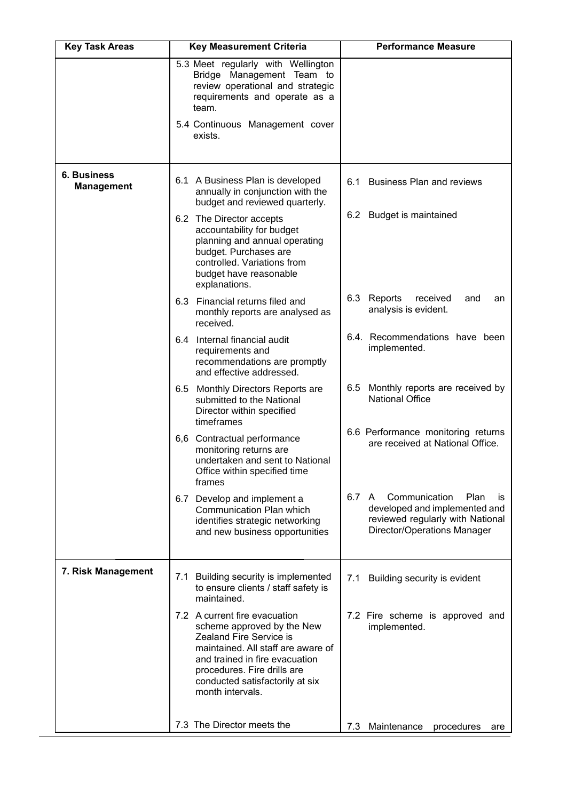| <b>Key Task Areas</b>                   | <b>Key Measurement Criteria</b>                                                                                                                                                                                                                      | <b>Performance Measure</b>                                                                                                               |
|-----------------------------------------|------------------------------------------------------------------------------------------------------------------------------------------------------------------------------------------------------------------------------------------------------|------------------------------------------------------------------------------------------------------------------------------------------|
|                                         | 5.3 Meet regularly with Wellington<br>Bridge Management Team to<br>review operational and strategic<br>requirements and operate as a<br>team.<br>5.4 Continuous Management cover<br>exists.                                                          |                                                                                                                                          |
| <b>6. Business</b><br><b>Management</b> | 6.1 A Business Plan is developed<br>annually in conjunction with the<br>budget and reviewed quarterly.                                                                                                                                               | <b>Business Plan and reviews</b><br>6.1                                                                                                  |
|                                         | 6.2 The Director accepts<br>accountability for budget<br>planning and annual operating<br>budget. Purchases are<br>controlled. Variations from<br>budget have reasonable<br>explanations.                                                            | 6.2 Budget is maintained                                                                                                                 |
|                                         | 6.3 Financial returns filed and<br>monthly reports are analysed as<br>received.                                                                                                                                                                      | 6.3 Reports<br>received<br>and<br>an<br>analysis is evident.                                                                             |
|                                         | 6.4 Internal financial audit<br>requirements and<br>recommendations are promptly<br>and effective addressed.                                                                                                                                         | 6.4. Recommendations have been<br>implemented.                                                                                           |
|                                         | 6.5 Monthly Directors Reports are<br>submitted to the National<br>Director within specified                                                                                                                                                          | Monthly reports are received by<br>6.5<br><b>National Office</b>                                                                         |
|                                         | timeframes<br>6,6 Contractual performance<br>monitoring returns are<br>undertaken and sent to National<br>Office within specified time<br>frames                                                                                                     | 6.6 Performance monitoring returns<br>are received at National Office.                                                                   |
|                                         | 6.7 Develop and implement a<br>Communication Plan which<br>identifies strategic networking<br>and new business opportunities                                                                                                                         | 6.7 A<br>Communication<br>Plan<br>IS<br>developed and implemented and<br>reviewed regularly with National<br>Director/Operations Manager |
| 7. Risk Management                      | 7.1 Building security is implemented<br>to ensure clients / staff safety is<br>maintained.                                                                                                                                                           | Building security is evident<br>7.1                                                                                                      |
|                                         | 7.2 A current fire evacuation<br>scheme approved by the New<br>Zealand Fire Service is<br>maintained. All staff are aware of<br>and trained in fire evacuation<br>procedures. Fire drills are<br>conducted satisfactorily at six<br>month intervals. | 7.2 Fire scheme is approved and<br>implemented.                                                                                          |
|                                         | 7.3 The Director meets the                                                                                                                                                                                                                           | 7.3 Maintenance procedures<br>are                                                                                                        |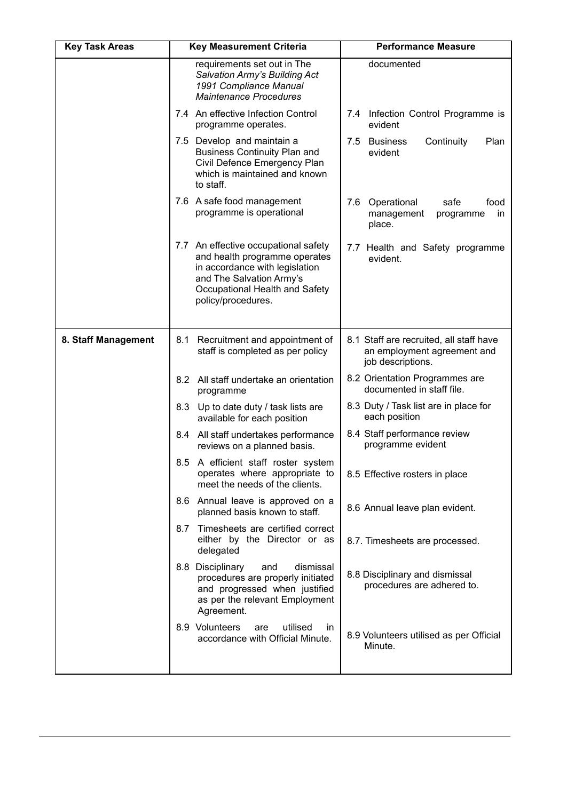| <b>Key Task Areas</b> | <b>Key Measurement Criteria</b>                                                                                                                                                             | <b>Performance Measure</b>                                                                                                                                                                                   |  |
|-----------------------|---------------------------------------------------------------------------------------------------------------------------------------------------------------------------------------------|--------------------------------------------------------------------------------------------------------------------------------------------------------------------------------------------------------------|--|
|                       | requirements set out in The<br>Salvation Army's Building Act<br>1991 Compliance Manual<br><b>Maintenance Procedures</b>                                                                     | documented                                                                                                                                                                                                   |  |
|                       | 7.4 An effective Infection Control<br>programme operates.                                                                                                                                   | Infection Control Programme is<br>7.4<br>evident                                                                                                                                                             |  |
|                       | 7.5 Develop and maintain a<br><b>Business Continuity Plan and</b><br>Civil Defence Emergency Plan<br>which is maintained and known<br>to staff.                                             | 7.5<br><b>Business</b><br>Continuity<br>Plan<br>evident                                                                                                                                                      |  |
|                       | 7.6 A safe food management<br>programme is operational                                                                                                                                      | 7.6 Operational<br>safe<br>food<br>management<br>programme<br>in.<br>place.                                                                                                                                  |  |
|                       | 7.7 An effective occupational safety<br>and health programme operates<br>in accordance with legislation<br>and The Salvation Army's<br>Occupational Health and Safety<br>policy/procedures. | 7.7 Health and Safety programme<br>evident.                                                                                                                                                                  |  |
| 8. Staff Management   | Recruitment and appointment of<br>8.1<br>staff is completed as per policy                                                                                                                   | 8.1 Staff are recruited, all staff have<br>an employment agreement and<br>job descriptions.                                                                                                                  |  |
|                       | 8.2 All staff undertake an orientation<br>programme                                                                                                                                         | 8.2 Orientation Programmes are<br>documented in staff file.<br>8.3 Duty / Task list are in place for<br>each position<br>8.4 Staff performance review<br>programme evident<br>8.5 Effective rosters in place |  |
|                       | 8.3 Up to date duty / task lists are<br>available for each position                                                                                                                         |                                                                                                                                                                                                              |  |
|                       | 8.4 All staff undertakes performance<br>reviews on a planned basis.                                                                                                                         |                                                                                                                                                                                                              |  |
|                       | 8.5 A efficient staff roster system<br>operates where appropriate to<br>meet the needs of the clients.                                                                                      |                                                                                                                                                                                                              |  |
|                       | 8.6 Annual leave is approved on a<br>planned basis known to staff.                                                                                                                          | 8.6 Annual leave plan evident.                                                                                                                                                                               |  |
|                       | Timesheets are certified correct<br>8.7<br>either by the Director or as<br>delegated                                                                                                        | 8.7. Timesheets are processed.                                                                                                                                                                               |  |
|                       | 8.8 Disciplinary<br>and<br>dismissal<br>procedures are properly initiated<br>and progressed when justified<br>as per the relevant Employment<br>Agreement.                                  | 8.8 Disciplinary and dismissal<br>procedures are adhered to.                                                                                                                                                 |  |
|                       | 8.9 Volunteers<br>utilised<br>are<br>in.<br>accordance with Official Minute.                                                                                                                | 8.9 Volunteers utilised as per Official<br>Minute.                                                                                                                                                           |  |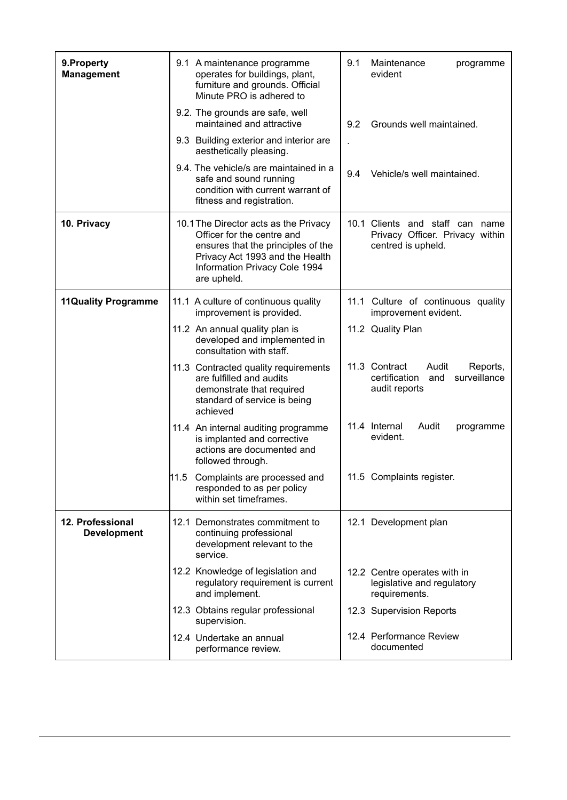| 9. Property<br><b>Management</b>       | 9.1 A maintenance programme<br>9.1<br>Maintenance<br>operates for buildings, plant,<br>evident<br>furniture and grounds. Official<br>Minute PRO is adhered to                                                                                                                            | programme                                                                   |  |
|----------------------------------------|------------------------------------------------------------------------------------------------------------------------------------------------------------------------------------------------------------------------------------------------------------------------------------------|-----------------------------------------------------------------------------|--|
|                                        | 9.2. The grounds are safe, well<br>maintained and attractive<br>Grounds well maintained.<br>9.2                                                                                                                                                                                          |                                                                             |  |
|                                        | 9.3 Building exterior and interior are<br>aesthetically pleasing.                                                                                                                                                                                                                        |                                                                             |  |
|                                        | 9.4. The vehicle/s are maintained in a<br>9.4<br>Vehicle/s well maintained.<br>safe and sound running<br>condition with current warrant of<br>fitness and registration.                                                                                                                  |                                                                             |  |
| 10. Privacy                            | 10.1 Clients and staff can name<br>10.1 The Director acts as the Privacy<br>Privacy Officer. Privacy within<br>Officer for the centre and<br>ensures that the principles of the<br>centred is upheld.<br>Privacy Act 1993 and the Health<br>Information Privacy Cole 1994<br>are upheld. |                                                                             |  |
| <b>11Quality Programme</b>             | 11.1 A culture of continuous quality<br>11.1 Culture of continuous quality<br>improvement is provided.<br>improvement evident.                                                                                                                                                           |                                                                             |  |
|                                        | 11.2 Quality Plan<br>11.2 An annual quality plan is<br>developed and implemented in<br>consultation with staff.                                                                                                                                                                          |                                                                             |  |
|                                        | 11.3 Contract<br>Audit<br>11.3 Contracted quality requirements<br>certification<br>and<br>are fulfilled and audits<br>audit reports<br>demonstrate that required<br>standard of service is being<br>achieved                                                                             | Reports,<br>surveillance                                                    |  |
|                                        | 11.4 Internal<br>Audit<br>11.4 An internal auditing programme<br>evident.<br>is implanted and corrective<br>actions are documented and<br>followed through.                                                                                                                              | programme                                                                   |  |
|                                        | 11.5 Complaints are processed and<br>11.5 Complaints register.<br>responded to as per policy<br>within set timeframes.                                                                                                                                                                   |                                                                             |  |
| 12. Professional<br><b>Development</b> | 12.1 Demonstrates commitment to<br>12.1 Development plan<br>continuing professional<br>development relevant to the<br>service.                                                                                                                                                           | 12.2 Centre operates with in<br>legislative and regulatory<br>requirements. |  |
|                                        | 12.2 Knowledge of legislation and<br>regulatory requirement is current<br>and implement.                                                                                                                                                                                                 |                                                                             |  |
|                                        | 12.3 Obtains regular professional<br>12.3 Supervision Reports<br>supervision.                                                                                                                                                                                                            |                                                                             |  |
|                                        | 12.4 Performance Review<br>12.4 Undertake an annual<br>documented<br>performance review.                                                                                                                                                                                                 |                                                                             |  |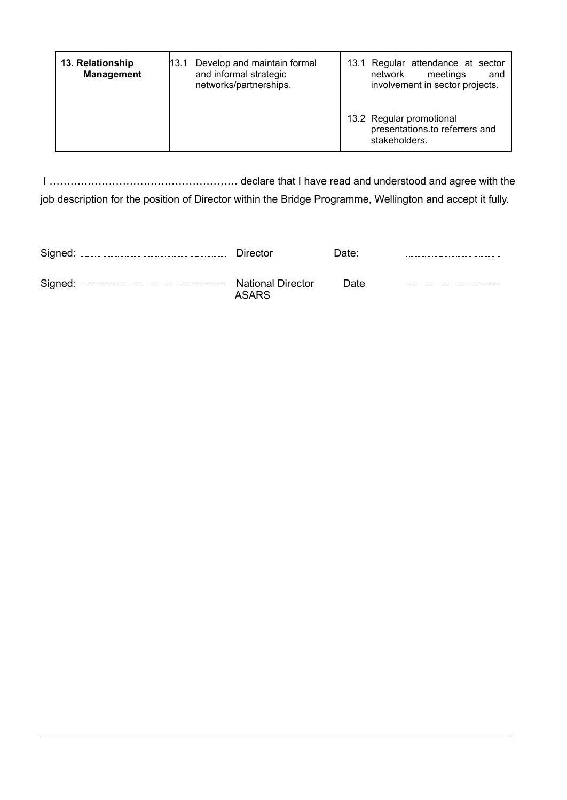| 13. Relationship<br><b>Management</b> | Develop and maintain formal<br>13.1<br>and informal strategic<br>networks/partnerships. | 13.1 Regular attendance at sector<br>network<br>meetings<br>and<br>involvement in sector projects. |
|---------------------------------------|-----------------------------------------------------------------------------------------|----------------------------------------------------------------------------------------------------|
|                                       |                                                                                         | 13.2 Regular promotional<br>presentations.to referrers and<br>stakeholders.                        |

I ……………………………………………… declare that I have read and understood and agree with the job description for the position of Director within the Bridge Programme, Wellington and accept it fully.

| Signed: | Director                                 | Date: |  |
|---------|------------------------------------------|-------|--|
| Signed: | <b>National Director</b><br><b>ASARS</b> | Date  |  |